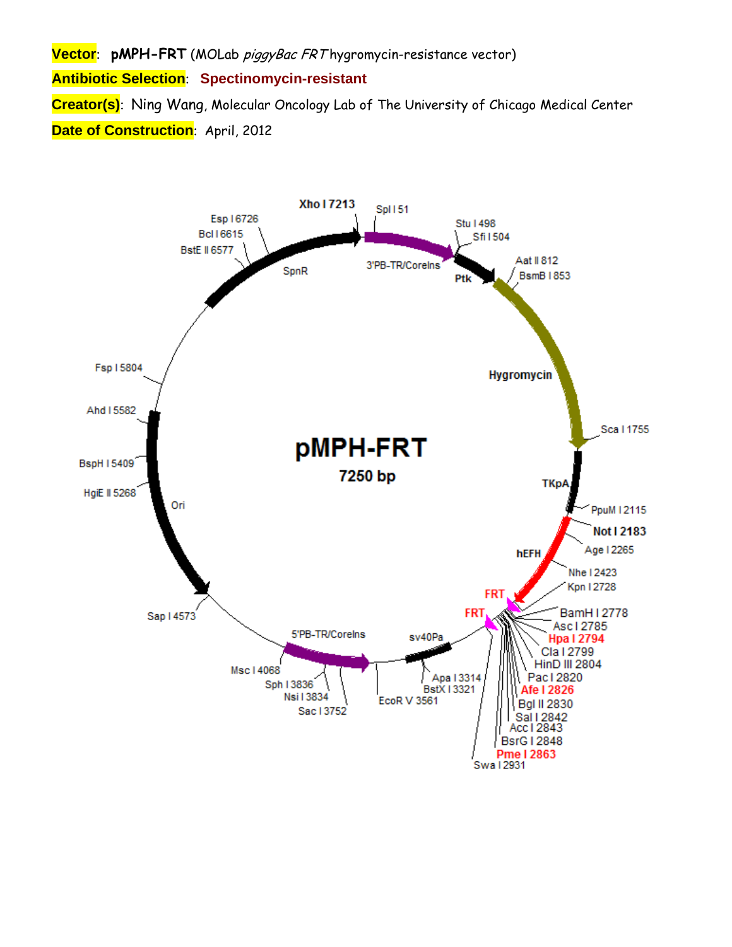**Vector**: **pMPH-FRT** (MOLab piggyBac FRT hygromycin-resistance vector)

**Antibiotic Selection**: **Spectinomycin-resistant**

**Creator(s)**: Ning Wang, Molecular Oncology Lab of The University of Chicago Medical Center **Date of Construction: April, 2012** 

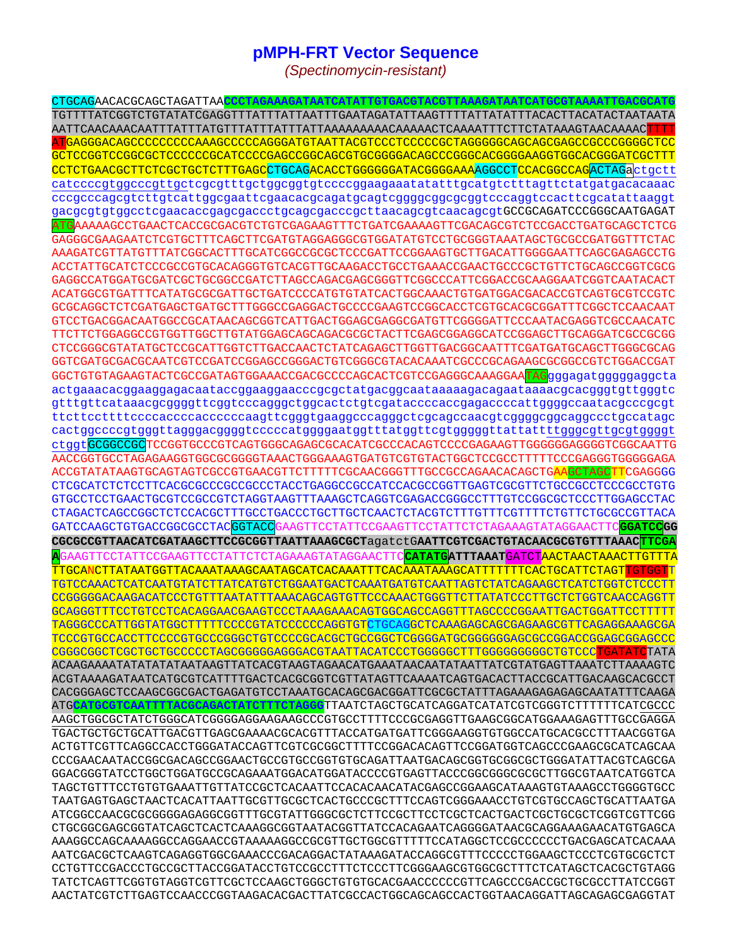## **pMPH-FRT Vector Sequence**

(Spectinomycin-resistant)

CTGCAGAACACGCAGCTAGATTAA<mark>CCCTAGAAAGATAATCATATTGTGACGTACGTTAAAGATAATCATGCGTAAAATTGACGC</mark> GCTCCGGTCCGGCGCTCCCCCCGCATCCCCGAGCCGGCAGCGTGCGGGACAGCCCGGGCACGGGGAAGGTGGCACGGGATCGCTTT CCTCTGAACGCTTCTCGCTGCTCTTTGAGCCTGCAGACACCTGGGGGGATACGGGGAAAAGGCCTCCACGGCCAGACTAGactqctt catccccgtggcccgttgctcgcgtttgctggcggtgtccccggaagaaatatatttgcatgtctttagttctatgatgacacaaac cccgcccagcgtcttgtcattggcgaattcgaacacgcagatgcagtcggggcggcggtcccaggtccacttcgcatattaaggt gacgcgtgtggcctcgaacaccgagcgaccctgcagcgacccgcttaacagcgtcaacagcgtGCCGCAGATCCCGGCAATGAGAT AAAAAGCCTGAACTCACCGCGACGTCTGTCGAGAAGTTTCTGATCGAAAAGTTCGACAGCGTCTCCGACCTGATGCAGCTCTCG GAGGGCGAAGAATCTCGTGCTTTCAGCTTCGATGTAGGAGGCGTGGATATGTCCTGCGGGTAAATAGCTGCGCCGATGGTTTCTAC AAAGATCGTTATGTTTATCGGCACTTTGCATCGGCCGCGCTCCCGATTCCGGAAGTGCTTGACATTGGGGAATTCAGCGAGAGCCTG GAGGCCATGGATGCGATCGCTGCGGCCGATCTTAGCCAGACGAGCGGGTTCGGCCCATTCGGACCGCAAGGAATCGGTCAATACACT GCGCAGGCTCTCGATGAGCTGATGCTTTGGGCCGAGGACTGCCCCGAAGTCCGGCACCTCGTGCACGCGGATTTCGGCTCCAACAAT GTCCTGACGGACAATGGCCGCATAACAGCGGTCATTGACTGGAGCGAGGCGATGTTCGGGGATTCCCAATACGAGGTCGCCAACATC TTCTTCTGGAGGCCGTGGTTGGCTTGTATGGAGCAGCAGACGCGCTACTTCGAGCGGAGGCATCCGGAGCTTGCAGGATCGCCGCGG CTCCGGGCGTATATGCTCCGCATTGGTCTTGACCAACTCTATCAGAGCTTGGTTGACGGCAATTTCGATGATGCAGCTTGGGCGCAG GGTCGATGCGACGCAATCGTCCGATCCGGAGCCGGGACTGTCGGGCGTACAAAATCGCCCGCAGAAGCGCGGCCGTCTGGACCGAT GGCTGTGTAGAAGTACTCGCCGATAGTGGAAACCGACGCCCCAGCACTCGTCCGAGGGCAAAGGAA<mark>TAG</mark>gggagatgggggaggcta actgaaacacggaaggagacaataccggaaggaacccgcgctatgacggcaataaaaagacagaataaaacgcacgggtgttgggtc gtttgttcataaacqcqqqqttcqqtcccaqqqctqqcactctqtcqataccccaccqaqaccccattqqqqccaatacqcccqcqt cactggccccgtgggttagggacggggtcccccatggggaatggtttatggttcgtgggggttattattttgggcgttgcgtggggt ctqqtGCGGCCGCTCCGGTGCCCGTCAGTGGGCAGAGCGCACATCGCCCACAGTCCCCGAGAAGTTGGGGGGAGGGTCGGCAATTG AACCGGTGCCTAGAGAAGGTGGCGCGGGGTAAACTGGGAAAGTGATGTCGTGTACTGGCTCCGCCTTTTTCCCGAGGGTGGGGAGA ACCGTATATAAGTGCAGTAGTCGCCGTGAACGTTCTTTTTCGCAACGGGTTTGCCGCCAGAACACAGCTG<mark>AAGCTAGCTT</mark>CGAGGGG CTCGCATCTCTCCTTCACGCGCCCCCCCCCCTACCTGAGGCCGCCATCCACGCCGGTTGAGTCGCGTTCTGCCGCCTCCCGCCTGTG GTGCCTCCTGAACTGCGTCCGCCGTCTAGGTAAGTTTAAAGCTCAGGTCGAGACCGGGCCTTTGTCCGGCGCTCCCTTGGAGCCTAC GAAGTTCCTATTCCGAAGTTCCTATTCTCTAGAAAGTATAGGAACTT GATCCAAGCTGTGACCGGCGCCTACGGTACC GGATCCGG CGCGCCGTTAACATCGATAAGCTTCCGCGGTTAATTAAAGCGCTaqatctGAATTCGTCGACTGTACAACGCGTGTTTAAAC AAGTTCCTATTCCGAAGTTCCTATTCTCTAGAAAGTATAGGAACTTC<mark>CATATG</mark>ATTTAAAT<mark>GATCTAACTAACTAACTT</mark> TTGCANCTTATAATGGTTACAAATAAAGCAATAGCATCACAAATTTCACAAATAAAGCATTTTTTCACTGCATTCTAGTI TGTCCAAACTCATCAATGTATCTTATCATGTCTGGAATGACTCAAATGATGTCAATTAGTCTATCAGAAGCTCATCTGGTCTCCCTT CCGGGGGACAAGACATCCCTGTTTAATATTTAAACAGCAGTGTTCCCAAACTGGGTTCTTATATCCCTTGCTCTGGTCAACCAGGTT GCAGGGTTTCCTGTCCTCACAGGAACGAAGTCCCTAAAGAAACAGTGGCAGCCAGGTTTAGCCCCGGAATTGACTGGATTCCTTTTT TAGGGCCCATTGGTATGGCTTTTTCCCCGTATCCCCCAGGTGTCTGCAGGCTCAAAGAGCAGCGAGAAGCGTTCAGAGGAAAGCGA TCCCGTGCCACCTTCCCCGTGCCCGGGCTGTCCCCGCACGCTGCCGGCTCGGGGATGCGGGGGAGCGCCGGACCGGAGCGGAGCCC ACAAGAAAATATATATAATAAGTTATCACGTAAGTAGAACATGAAATAACAATATAATTATCGTATGAGTTAAATCTTAAAAGTC ACGTAAAAGATAATCATGCGTCATTTTGACTCACGCGGTCGTTATAGTTCAAAATCAGTGACACTTACCGCATTGACAAGCACGCCT CACGGGAGCTCCAAGCGGCGACTGAGATGTCCTAAATGCACAGCGACGGATTCGCGCTATTTAGAAAGAGAGCAATATTTCAAGA ATGCATGCGTCAATTTTACGCAGACTATCTTTCTAGGGTTAATCTAGCTGCATCAGGATCATATCGTCGGGTCTTTTTTCATCGCCC AAGCTGGCGCTATCTGGGCATCGGGGAGGAAGAAGCCCGTGCCTTTTCCCGCGAGGTTGAAGCGGCATGGAAAGAGTTTGCCGAGGA TGACTGCTGCTGTTTAACGTTTGAGCGAAAACGCACACTTTACCACTATAFATTCGGGAAAGGTGTGGCCATGCACGCCTTTAACGGTTAA ACTGTTCGTTCAGGCCACCTGGGATACCAGTTCGTCGCGGCTTTTCCGGACACAGTTCCGGATGGTCAGCCCGAAGCGCATCAGCAA CCCGAACAATACCGGCGACAGCCGGAACTGCCGTGCCGGTGTGCAGATTAATGACAGCGGTGCGGCGCTGGGATATTACGTCAGCGA GGACGGGTATCCTGGCTGGATGCCGCAGAAATGGACATGGATACCCCGTGAGTTACCCGGCGGCGCCCCTTGGCGTAATCATGGTCA TAGCTGTTTCCTGTGAAAATTGTTATCCGCTCACAATTCCACAACATACGAGCCGGAAGCATAAAGTGTAAAGCCTGGGGTGCC TAATGAGTGAGCTAACTCACATTAATTGCGTTGCGCTCACTGCCCGCTTTCCAGTCGGGAAACCTGTCGTGCCAGCTGCATTAATGA AAAGGCCAGCAAAAGGCCAGGAACCGTAAAAAGGCCGCGTTGCTGGCGTTTTTCCATAGGCTCCGCCCCCTGACGAGCATCACAAA AATCGACGCTCAAGTCAGAGGTGGCGAAACCCGACAGGACTATAAAGATACCAGGCGTTTCCCCCTGGAAGCTCCCTCGTGCGCTCT CCTGTTCCGACCCTGCCGCTTACCGGATACCTGTCCGCCTTTCTCCCTTCGGGAAGCGTGGCGCTTTCTCATAGCTCACGCTGTAGG TATCTCAGTTCGGTGTAGGTCGTTCGCTCCAAGCTGGGCTGTGCACGAACCCCCCGTTCAGCCCGACCGCTGCGCCTTATCCGGT AACTATCGTCTTGAGTCCAACCCGGTAAGACACGACTTATCGCCACTGGCAGCAGCACTGGTAACAGGATTAGCAGAGCGAGGTAT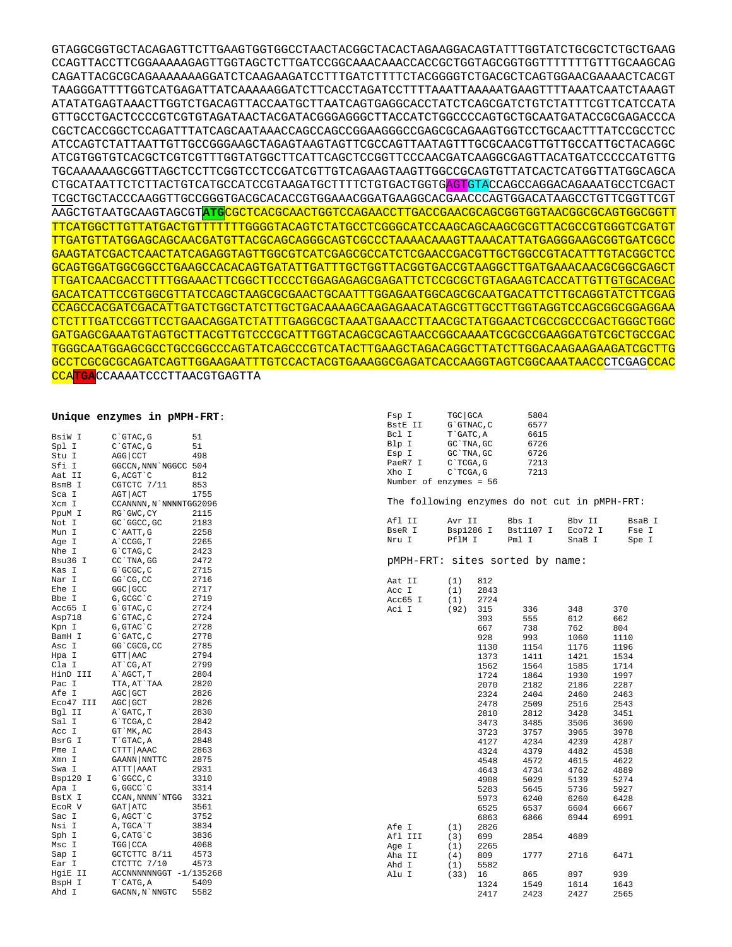GTAGGCGGTGCTACAGAGTTCTTGAAGTGGTGGCCTAACTACGGCTACACTAGAAGGACAGTATTTGGTATCTGCGCTCTGCTGAAG CCAGTTACCTTCGGAAAAAGAGTTGGTAGCTCTTGATCCGGCAAACAAACCACCGCTGGTAGCGGTGGTTTTTTTGTTTGCAAGCAG CAGATTACGCGCAGAAAAAAAGGATCTCAAGAAGATCCTTTGATCTTTTCTACGGGGTCTGACGCTCAGTGGAACGAAAACTCACGT TAAGGGATTTTGGTCATGAGATTATCAAAAAGGATCTTCACCTAGATCCTTTTAAATTAAAAATGAAGTTTTAAATCAATCTAAAGT ATATATGAGTAAACTTGGTCTGACAGTTACCAATGCTTAATCAGTGAGGCACCTATCTCAGCGATCTGTCTATTTCGTTCATCCATA GTTGCCTGACTCCCCGTCGTGTAGATAACTACGATACGGGAGGGCTTACCATCTGGCCCCAGTGCTGCAATGATACCGCGAGACCCA CGCTCACCGGCTCCAGATTTATCAGCAATAAACCAGCCAGCCGGAAGGGCCGAGCGCAGAAGTGGTCCTGCAACTTTATCCGCCTCC ATCCAGTCTATTAATTGTTGCCGGGAAGCTAGAGTAAGTAGTTCGCCAGTTAATAGTTTGCGCAACGTTGTTGCCATTGCTACAGGC ATCGTGGTGTCACGCTCGTCGTTTGGTATGGCTTCATTCAGCTCCGGTTCCCAACGATCAAGGCGAGTTACATGATCCCCCATGTTG TGCAAAAAAGCGGTTAGCTCCTTCGGTCCTCCGATCGTTGTCAGAAGTAAGTTGGCCGCAGTGTTATCACTCATGGTTATGGCAGCA CTGCATAATTCTCTTACTGTCATGCCATCCGTAAGATGCTTTTCTGTGACTGGTGAGTGTACCAGCCAGGACAGAAATGCCTCGACT TCGCTGCTACCCAAGGTTGCCGGGTGACGCACACCGTGGAAACGGATGAAGGCACGAACCCAGTGGACATAAGCCTGTTCGGTTCGT AAGCTGTAATGCAAGTAGCGT**ATG**CGCTCACGCAACTGGTCCAGAACCTTGACCGAACGCAGCGGTGGTAACGGCGCAGTGGCGGTT TTCATGGCTTGTTATGACTGTTTTTTTGGGGTACAGTCTATGCCTCGGGCATCCAAGCAGCAAGCGCGTTACGCCGTGGGTCGATGT TTGATGTTATGGAGCAGCAACGATGTTACGCAGCAGGGCAGTCGCCCTAAAACAAAGTTAAACATTATGAGGGAAGCGGTGATCGCC GAAGTATCGACTCAACTATCAGAGGTAGTTGGCGTCATCGAGCGCCATCTCGAACCGACGTTGCTGGCCGTACATTTGTACGGCTCC GCAGTGGATGGCGGCCTGAAGCCACACAGTGATATTGATTTGCTGGTTACGGTGACCGTAAGGCTTGATGAAACAACGCGGCGAGCT TTGATCAACGACCTTTTGGAAACTTCGGCTTCCCCTGGAGAGAGCGAGATTCTCCGCGCTGTAGAAGTCACCATTGTTGTGCACGAC GACATCATTCCGTGGCGTTATCCAGCTAAGCGCGAACTGCAATTTGGAGAATGGCAGCGCAATGACATTCTTGCAGGTATCTTCGAG CCAGCCACGATCGACATTGATCTGGCTATCTTGCTGACAAAAGCAAGAGAACATAGCGTTGCCTTGGTAGGTCCAGCGGCGGAGGAA CTCTTTGATCCGGTTCCTGAACAGGATCTATTTGAGGCGCTAAATGAAACCTTAACGCTATGGAACTCGCCGCCCGACTGGGCTGGC GATGAGCGAAATGTAGTGCTTACGTTGTCCCGCATTTGGTACAGCGCAGTAACCGGCAAAATCGCGCCGAAGGATGTCGCTGCCGAC TGGGCAATGGAGCGCCTGCCGGCCCAGTATCAGCCCGTCATACTTGAAGCTAGACAGGCTTATCTTGGACAAGAAGAAGATCGCTTG GCCTCGCGCGCAGATCAGTTGGAAGAATTTGTCCACTACGTGAAAGGCGAGATCACCAAGGTAGTCGGCAAATAACCCTCGAGCCAC CCA**TGA**CCAAAATCCCTTAACGTGAGTTA

## **Unique enzymes in pMPH-FRT**:

| BsiW I             | C`GTAC, G                    | 51   |
|--------------------|------------------------------|------|
| Spl I              | $C$ $GTAC$ , $G$             | 51   |
| Stu I              | AGG CCT                      | 498  |
| Sfi I              | GGCCN, NNN NGGCC 504         |      |
| --- -<br>Aat II    | G, ACGT `C                   | 812  |
| BsmB I             | CGTCTC 7/11                  | 853  |
| Sca I              | AGT   ACT                    | 1755 |
| Xcm I              | CCANNNN, N`NNNNTGG2096       |      |
| PpuM I             | RG`GWC, CY                   | 2115 |
| Not I              | GC `GGCC, GC                 | 2183 |
| Mun I              | C`AATT, G                    | 2258 |
| Age I              | A`CCGG, T                    | 2265 |
| Nhe I              | G`CTAG, C                    | 2423 |
| Bsu36 I            | CC`TNA, GG                   | 2472 |
| Kas I              | G`GCGC, C                    | 2715 |
| Nar I              | GG CG, CC                    | 2716 |
| Ehe I              | $GGC$ $GCC$                  | 2717 |
| Bbe I              | G, GCGC `C                   | 2719 |
| Acc65 I            | G`GTAC, C                    | 2724 |
| Asp718             | $G$ $GTAC$ , $C$             | 2724 |
| Kpn I              | G, GTAC `C                   | 2728 |
| BamH I             | G`GATC, C                    | 2778 |
| Asc I              | GG`CGCG, CC                  | 2785 |
| Hpa I              | GTT   AAC                    | 2794 |
| Cla I              | AT CG, AT                    | 2799 |
| HinD III           | A`AGCT, T                    | 2804 |
| Pac I              | TTA, AT`TAA                  | 2820 |
| Afe I              | AGC GCT                      | 2826 |
| Eco47 III          | AGC GCT                      | 2826 |
| Bgl II             | A`GATC, T                    | 2830 |
| Sal I              | G`TCGA, C                    | 2842 |
| Acc I              | GT `MK, AC                   | 2843 |
| Acc<br>BsrG I<br>T | T`GTAC, A                    | 2848 |
|                    |                              | 2863 |
| Xmn I              | CTTT   AAAC<br>GAANN   NNTTC | 2875 |
| Swa I              | ATTT   AAAT                  | 2931 |
| Bsp120<br>I.       | G`GGCC, C                    | 3310 |
| Apa I              | G, GGCC `C                   | 3314 |
| BstX I             | CCAN, NNNN`NTGG              | 3321 |
| ECOR V             | GAT ATC                      | 3561 |
| Sac I              | G, AGCT `C                   | 3752 |
| Nsi I              | A, TGCA`T                    | 3834 |
|                    | G, CATG`C                    | 3836 |
| Sph I<br>Msc I     | TGG   CCA                    | 4068 |
|                    | GCTCTTC 8/11                 | 4573 |
| Sap I<br>Ear I     | CTCTTC 7/10                  | 4573 |
| HgiE II            | ACCNNNNNNGGT -1/135268       |      |
| BspH I             | T`CATG, A                    | 5409 |
| Ahd I              | GACNN, N`NNGTC               | 5582 |
|                    |                              |      |

| Fsp I                           | TGC GCA            | 5804                                          |             |             |  |  |  |  |  |  |
|---------------------------------|--------------------|-----------------------------------------------|-------------|-------------|--|--|--|--|--|--|
| BstE II                         | G`GTNAC, C         | 6577                                          |             |             |  |  |  |  |  |  |
| Bcl I                           | T`GATC, A          | 6615                                          |             |             |  |  |  |  |  |  |
| Blp I                           | GC `TNA, GC        | 6726                                          |             |             |  |  |  |  |  |  |
| Esp I                           | GC `TNA, GC        | 6726                                          |             |             |  |  |  |  |  |  |
| PaeR7 I                         | C`TCGA, G          | 7213                                          |             |             |  |  |  |  |  |  |
| Xho I                           | C`TCGA, G          | 7213                                          |             |             |  |  |  |  |  |  |
| Number of enzymes = 56          |                    |                                               |             |             |  |  |  |  |  |  |
|                                 |                    |                                               |             |             |  |  |  |  |  |  |
|                                 |                    | The following enzymes do not cut in pMPH-FRT: |             |             |  |  |  |  |  |  |
| Afl II                          | Avr II             | Bbs I                                         | Bbv II      | BsaB I      |  |  |  |  |  |  |
| BseR I                          | Bsp1286 I          | Bst1107 I                                     | Eco72 I     | Fse I       |  |  |  |  |  |  |
| Nru I                           | PflM I             | Pml I                                         | SnaB I      | Spe I       |  |  |  |  |  |  |
| pMPH-FRT: sites sorted by name: |                    |                                               |             |             |  |  |  |  |  |  |
| Aat II                          | (1)<br>812         |                                               |             |             |  |  |  |  |  |  |
| Acc I                           | (1)<br>2843        |                                               |             |             |  |  |  |  |  |  |
| Acc65 I                         | (1)<br>2724        |                                               |             |             |  |  |  |  |  |  |
| Aci I                           | (92)<br>315        | 336                                           | 348         | 370         |  |  |  |  |  |  |
|                                 | 393                | 555                                           | 612         | 662         |  |  |  |  |  |  |
|                                 | 667                | 738                                           | 762         | 804         |  |  |  |  |  |  |
|                                 | 928                | 993                                           | 1060        | 1110        |  |  |  |  |  |  |
|                                 | 1130               | 1154                                          | 1176        | 1196        |  |  |  |  |  |  |
|                                 | 1373               | 1411                                          | 1421        | 1534        |  |  |  |  |  |  |
|                                 | 1562               | 1564                                          | 1585        | 1714        |  |  |  |  |  |  |
|                                 | 1724               | 1864                                          | 1930        | 1997        |  |  |  |  |  |  |
|                                 | 2070               | 2182                                          | 2186        | 2287        |  |  |  |  |  |  |
|                                 | 2324               | 2404                                          | 2460        | 2463        |  |  |  |  |  |  |
|                                 | 2478               | 2509                                          | 2516        | 2543        |  |  |  |  |  |  |
|                                 | 2810               | 2812                                          | 3428        | 3451        |  |  |  |  |  |  |
|                                 | 3473               | 3485                                          | 3506        | 3690        |  |  |  |  |  |  |
|                                 | 3723               | 3757                                          | 3965        | 3978        |  |  |  |  |  |  |
|                                 | 4127               | 4234                                          | 4239        | 4287        |  |  |  |  |  |  |
|                                 | 4324               | 4379                                          | 4482        | 4538        |  |  |  |  |  |  |
|                                 | 4548               | 4572                                          | 4615        | 4622        |  |  |  |  |  |  |
|                                 | 4643               | 4734                                          | 4762        | 4889        |  |  |  |  |  |  |
|                                 | 4908               | 5029                                          | 5139        | 5274        |  |  |  |  |  |  |
|                                 | 5283               | 5645                                          | 5736        | 5927        |  |  |  |  |  |  |
|                                 | 5973               | 6240                                          | 6260        | 6428        |  |  |  |  |  |  |
|                                 | 6525               | 6537                                          | 6604        | 6667        |  |  |  |  |  |  |
|                                 | 6863               | 6866                                          | 6944        | 6991        |  |  |  |  |  |  |
| Afe I                           | 2826<br>(1)        |                                               |             |             |  |  |  |  |  |  |
| Afl III                         | (3)<br>699         | 2854                                          | 4689        |             |  |  |  |  |  |  |
| Age I                           | (1)<br>2265        |                                               |             |             |  |  |  |  |  |  |
| Aha II                          | (4)<br>809         | 1777                                          | 2716        | 6471        |  |  |  |  |  |  |
| Ahd I                           | (1)<br>5582        |                                               |             |             |  |  |  |  |  |  |
| Alu I                           | (33)<br>16<br>1324 | 865<br>1549                                   | 897<br>1614 | 939<br>1643 |  |  |  |  |  |  |
|                                 | 2417               | 2423                                          | 2427        | 2565        |  |  |  |  |  |  |
|                                 |                    |                                               |             |             |  |  |  |  |  |  |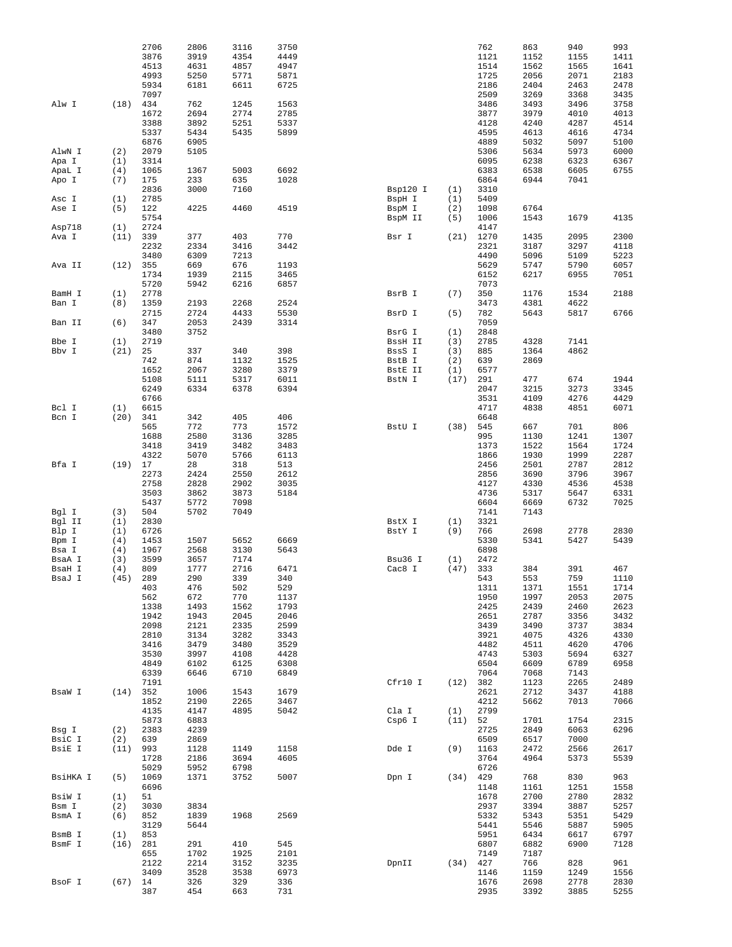|                  |             | 2706         | 2806         | 3116         | 3750         |                   |            | 762          | 863          | 940          | 993          |
|------------------|-------------|--------------|--------------|--------------|--------------|-------------------|------------|--------------|--------------|--------------|--------------|
|                  |             | 3876         | 3919         | 4354         | 4449         |                   |            | 1121         | 1152         | 1155         | 1411         |
|                  |             | 4513         | 4631         | 4857         | 4947         |                   |            | 1514         | 1562         | 1565         | 1641         |
|                  |             | 4993         | 5250         | 5771         | 5871         |                   |            | 1725         | 2056         | 2071         | 2183         |
|                  |             | 5934         | 6181         | 6611         | 6725         |                   |            | 2186         | 2404         | 2463         | 2478         |
| Alw I            | (18)        | 7097<br>434  | 762          | 1245         | 1563         |                   |            | 2509<br>3486 | 3269<br>3493 | 3368<br>3496 | 3435<br>3758 |
|                  |             | 1672         | 2694         | 2774         | 2785         |                   |            | 3877         | 3979         | 4010         | 4013         |
|                  |             | 3388         | 3892         | 5251         | 5337         |                   |            | 4128         | 4240         | 4287         | 4514         |
|                  |             | 5337         | 5434         | 5435         | 5899         |                   |            | 4595         | 4613         | 4616         | 4734         |
|                  |             | 6876         | 6905         |              |              |                   |            | 4889         | 5032         | 5097         | 5100         |
| AlwN I           | (2)         | 2079         | 5105         |              |              |                   |            | 5306         | 5634         | 5973         | 6000         |
| Apa I            | (1)         | 3314         |              |              |              |                   |            | 6095         | 6238         | 6323         | 6367         |
| ApaL I<br>Apo I  | (4)<br>(7)  | 1065<br>175  | 1367<br>233  | 5003<br>635  | 6692<br>1028 |                   |            | 6383<br>6864 | 6538<br>6944 | 6605<br>7041 | 6755         |
|                  |             | 2836         | 3000         | 7160         |              | Bsp120 I          | (1)        | 3310         |              |              |              |
| Asc I            | (1)         | 2785         |              |              |              | BspH I            | (1)        | 5409         |              |              |              |
| Ase I            | (5)         | 122          | 4225         | 4460         | 4519         | BspM I            | (2)        | 1098         | 6764         |              |              |
|                  |             | 5754         |              |              |              | BspM II           | (5)        | 1006         | 1543         | 1679         | 4135         |
| Asp718           | (1)         | 2724         |              |              |              |                   |            | 4147         |              |              |              |
| Ava I            | (11)        | 339          | 377          | 403          | 770          | Bsr I             | (21)       | 1270         | 1435         | 2095         | 2300         |
|                  |             | 2232<br>3480 | 2334<br>6309 | 3416<br>7213 | 3442         |                   |            | 2321<br>4490 | 3187<br>5096 | 3297<br>5109 | 4118<br>5223 |
| Ava II           | (12)        | 355          | 669          | 676          | 1193         |                   |            | 5629         | 5747         | 5790         | 6057         |
|                  |             | 1734         | 1939         | 2115         | 3465         |                   |            | 6152         | 6217         | 6955         | 7051         |
|                  |             | 5720         | 5942         | 6216         | 6857         |                   |            | 7073         |              |              |              |
| BamH I           | (1)         | 2778         |              |              |              | BsrB I            | (7)        | 350          | 1176         | 1534         | 2188         |
| Ban I            | (8)         | 1359         | 2193         | 2268         | 2524         |                   |            | 3473         | 4381         | 4622         |              |
|                  |             | 2715         | 2724         | 4433         | 5530         | BsrD I            | (5)        | 782          | 5643         | 5817         | 6766         |
| Ban II           | (6)         | 347<br>3480  | 2053<br>3752 | 2439         | 3314         |                   |            | 7059<br>2848 |              |              |              |
| Bbe I            | (1)         | 2719         |              |              |              | BsrG I<br>BssH II | (1)<br>(3) | 2785         | 4328         | 7141         |              |
| Bbv I            | (21)        | 25           | 337          | 340          | 398          | BssS I            | (3)        | 885          | 1364         | 4862         |              |
|                  |             | 742          | 874          | 1132         | 1525         | BstB I            | (2)        | 639          | 2869         |              |              |
|                  |             | 1652         | 2067         | 3280         | 3379         | BstE II           | (1)        | 6577         |              |              |              |
|                  |             | 5108         | 5111         | 5317         | 6011         | BstN I            | (17)       | 291          | 477          | 674          | 1944         |
|                  |             | 6249         | 6334         | 6378         | 6394         |                   |            | 2047         | 3215         | 3273         | 3345         |
|                  |             | 6766         |              |              |              |                   |            | 3531         | 4109         | 4276         | 4429         |
| Bcl I<br>Bcn I   | (1)<br>(20) | 6615<br>341  | 342          | 405          | 406          |                   |            | 4717<br>6648 | 4838         | 4851         | 6071         |
|                  |             | 565          | 772          | 773          | 1572         | BstU I            | (38)       | 545          | 667          | 701          | 806          |
|                  |             | 1688         | 2580         | 3136         | 3285         |                   |            | 995          | 1130         | 1241         | 1307         |
|                  |             | 3418         | 3419         | 3482         | 3483         |                   |            | 1373         | 1522         | 1564         | 1724         |
|                  |             | 4322         | 5070         | 5766         | 6113         |                   |            | 1866         | 1930         | 1999         | 2287         |
| Bfa I            | (19)        | 17           | 28           | 318          | 513          |                   |            | 2456         | 2501         | 2787         | 2812         |
|                  |             | 2273         | 2424         | 2550         | 2612         |                   |            | 2856         | 3690         | 3796         | 3967         |
|                  |             | 2758         | 2828         | 2902         | 3035         |                   |            | 4127         | 4330         | 4536         | 4538         |
|                  |             | 3503<br>5437 | 3862<br>5772 | 3873<br>7098 | 5184         |                   |            | 4736<br>6604 | 5317<br>6669 | 5647<br>6732 | 6331<br>7025 |
| Bgl I            | (3)         | 504          | 5702         | 7049         |              |                   |            | 7141         | 7143         |              |              |
| Bgl II           | (1)         | 2830         |              |              |              | BstX I            | (1)        | 3321         |              |              |              |
| Blp I            | (1)         | 6726         |              |              |              | BstY I            | (9)        | 766          | 2698         | 2778         | 2830         |
| Bpm I            | (4)         | 1453         | 1507         | 5652         | 6669         |                   |            | 5330         | 5341         | 5427         | 5439         |
| Bsa I            | (4)         | 1967         | 2568         | 3130         | 5643         |                   |            | 6898         |              |              |              |
| BsaA I           | (3)         | 3599<br>809  | 3657<br>1777 | 7174<br>2716 | 6471         | Bsu36 I           | (1)        | 2472<br>333  | 384          | 391          | 467          |
| BsaH I<br>BsaJ I | (4)<br>(45) | 289          | 290          | 339          | 340          | Cac8 I            | (47)       | 543          | 553          | 759          | 1110         |
|                  |             | 403          | 476          | 502          | 529          |                   |            | 1311         | 1371         | 1551         | 1714         |
|                  |             | 562          | 672          | 770          | 1137         |                   |            | 1950         | 1997         | 2053         | 2075         |
|                  |             | 1338         | 1493         | 1562         | 1793         |                   |            | 2425         | 2439         | 2460         | 2623         |
|                  |             | 1942         | 1943         | 2045         | 2046         |                   |            | 2651         | 2787         | 3356         | 3432         |
|                  |             | 2098         | 2121         | 2335         | 2599         |                   |            | 3439         | 3490         | 3737         | 3834         |
|                  |             | 2810<br>3416 | 3134<br>3479 | 3282<br>3480 | 3343<br>3529 |                   |            | 3921<br>4482 | 4075<br>4511 | 4326<br>4620 | 4330<br>4706 |
|                  |             | 3530         | 3997         | 4108         | 4428         |                   |            | 4743         | 5303         | 5694         | 6327         |
|                  |             | 4849         | 6102         | 6125         | 6308         |                   |            | 6504         | 6609         | 6789         | 6958         |
|                  |             | 6339         | 6646         | 6710         | 6849         |                   |            | 7064         | 7068         | 7143         |              |
|                  |             | 7191         |              |              |              | Cfr10 I           | (12)       | 382          | 1123         | 2265         | 2489         |
| BsaW I           | (14)        | 352          | 1006         | 1543         | 1679         |                   |            | 2621         | 2712         | 3437         | 4188         |
|                  |             | 1852         | 2190         | 2265         | 3467         |                   |            | 4212         | 5662         | 7013         | 7066         |
|                  |             | 4135         | 4147         | 4895         | 5042         | Cla I             | (1)        | 2799         |              |              |              |
| Bsg I            | (2)         | 5873<br>2383 | 6883<br>4239 |              |              | Csp6 I            | (11)       | 52<br>2725   | 1701<br>2849 | 1754<br>6063 | 2315<br>6296 |
| BsiC I           | (2)         | 639          | 2869         |              |              |                   |            | 6509         | 6517         | 7000         |              |
| BsiE I           | (11)        | 993          | 1128         | 1149         | 1158         | Dde I             | (9)        | 1163         | 2472         | 2566         | 2617         |
|                  |             | 1728         | 2186         | 3694         | 4605         |                   |            | 3764         | 4964         | 5373         | 5539         |
|                  |             | 5029         | 5952         | 6798         |              |                   |            | 6726         |              |              |              |
| BsiHKA I         | (5)         | 1069         | 1371         | 3752         | 5007         | Dpn I             | (34)       | 429          | 768          | 830          | 963          |
|                  |             | 6696         |              |              |              |                   |            | 1148         | 1161         | 1251         | 1558         |
| BsiW I<br>Bsm I  | (1)         | 51<br>3030   | 3834         |              |              |                   |            | 1678<br>2937 | 2700<br>3394 | 2780<br>3887 | 2832<br>5257 |
| BsmA I           | (2)<br>(6)  | 852          | 1839         | 1968         | 2569         |                   |            | 5332         | 5343         | 5351         | 5429         |
|                  |             | 3129         | 5644         |              |              |                   |            | 5441         | 5546         | 5887         | 5905         |
| BsmB I           | (1)         | 853          |              |              |              |                   |            | 5951         | 6434         | 6617         | 6797         |
| BsmF I           | (16)        | 281          | 291          | 410          | 545          |                   |            | 6807         | 6882         | 6900         | 7128         |
|                  |             | 655          | 1702         | 1925         | 2101         |                   |            | 7149         | 7187         |              |              |
|                  |             | 2122         | 2214         | 3152         | 3235         | DpnII             | (34)       | 427          | 766          | 828          | 961          |
|                  |             | 3409         | 3528         | 3538         | 6973         |                   |            | 1146         | 1159         | 1249         | 1556         |
| BsoF I           | $(67)$ 14   | 387          | 326<br>454   | 329<br>663   | 336<br>731   |                   |            | 1676<br>2935 | 2698<br>3392 | 2778<br>3885 | 2830<br>5255 |
|                  |             |              |              |              |              |                   |            |              |              |              |              |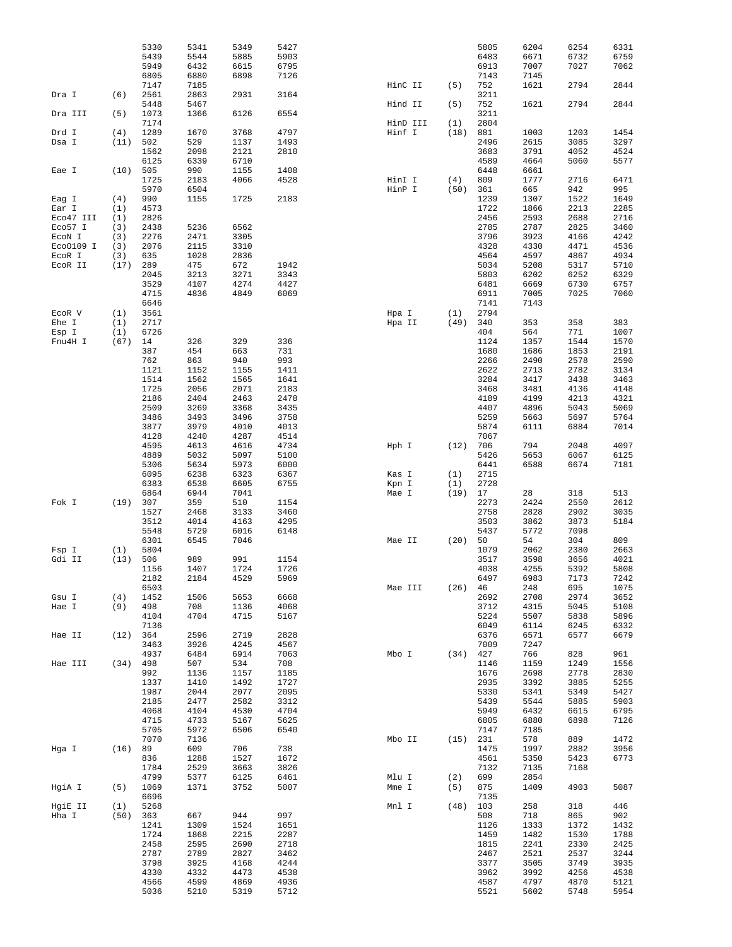|                     |             | 5330<br>5439<br>5949 | 5341<br>5544<br>6432 | 5349<br>5885<br>6615 | 5427<br>5903<br>6795 |                |            | 5805<br>6483<br>6913 | 6204<br>6671<br>7007 | 6254<br>6732<br>7027 | 6331<br>6759<br>7062 |
|---------------------|-------------|----------------------|----------------------|----------------------|----------------------|----------------|------------|----------------------|----------------------|----------------------|----------------------|
|                     |             | 6805<br>7147         | 6880<br>7185         | 6898                 | 7126                 | HinC II        | (5)        | 7143<br>752          | 7145<br>1621         | 2794                 | 2844                 |
| Dra I               | (6)         | 2561<br>5448         | 2863<br>5467         | 2931                 | 3164                 | Hind II        | (5)        | 3211<br>752          | 1621                 | 2794                 | 2844                 |
| Dra III             | (5)         | 1073<br>7174         | 1366                 | 6126                 | 6554                 | HinD III       | (1)        | 3211<br>2804         |                      |                      |                      |
| Drd I               | (4)         | 1289                 | 1670                 | 3768                 | 4797                 | Hinf I         | (18)       | 881                  | 1003                 | 1203                 | 1454                 |
| Dsa I               | (11)        | 502                  | 529                  | 1137                 | 1493                 |                |            | 2496                 | 2615                 | 3085                 | 3297                 |
|                     |             | 1562                 | 2098                 | 2121                 | 2810                 |                |            | 3683                 | 3791                 | 4052                 | 4524                 |
| Eae I               | (10)        | 6125<br>505          | 6339<br>990          | 6710<br>1155         | 1408                 |                |            | 4589<br>6448         | 4664<br>6661         | 5060                 | 5577                 |
|                     |             | 1725                 | 2183                 | 4066                 | 4528                 | HinI I         | (4)        | 809                  | 1777                 | 2716                 | 6471                 |
|                     |             | 5970                 | 6504                 |                      |                      | HinP I         | (50)       | 361                  | 665                  | 942                  | 995                  |
| Eag I               | (4)         | 990                  | 1155                 | 1725                 | 2183                 |                |            | 1239                 | 1307                 | 1522                 | 1649                 |
| Ear I<br>Eco47 III  | (1)<br>(1)  | 4573<br>2826         |                      |                      |                      |                |            | 1722<br>2456         | 1866<br>2593         | 2213<br>2688         | 2285<br>2716         |
| Eco57 I             | (3)         | 2438                 | 5236                 | 6562                 |                      |                |            | 2785                 | 2787                 | 2825                 | 3460                 |
| ECON I              | (3)         | 2276                 | 2471                 | 3305                 |                      |                |            | 3796                 | 3923                 | 4166                 | 4242                 |
| Eco0109 I<br>ECOR I | (3)         | 2076<br>635          | 2115<br>1028         | 3310<br>2836         |                      |                |            | 4328<br>4564         | 4330<br>4597         | 4471<br>4867         | 4536<br>4934         |
| ECOR II             | (3)<br>(17) | 289                  | 475                  | 672                  | 1942                 |                |            | 5034                 | 5208                 | 5317                 | 5710                 |
|                     |             | 2045                 | 3213                 | 3271                 | 3343                 |                |            | 5803                 | 6202                 | 6252                 | 6329                 |
|                     |             | 3529                 | 4107                 | 4274                 | 4427                 |                |            | 6481                 | 6669                 | 6730                 | 6757                 |
|                     |             | 4715<br>6646         | 4836                 | 4849                 | 6069                 |                |            | 6911<br>7141         | 7005<br>7143         | 7025                 | 7060                 |
| ECOR V              | (1)         | 3561                 |                      |                      |                      | Hpa I          | (1)        | 2794                 |                      |                      |                      |
| Ehe I               | (1)         | 2717                 |                      |                      |                      | Hpa II         | (49)       | 340                  | 353                  | 358                  | 383                  |
| Esp I               | (1)         | 6726                 |                      |                      |                      |                |            | 404                  | 564                  | 771                  | 1007                 |
| Fnu4H I             | (67)        | 14<br>387            | 326<br>454           | 329<br>663           | 336<br>731           |                |            | 1124<br>1680         | 1357<br>1686         | 1544<br>1853         | 1570<br>2191         |
|                     |             | 762                  | 863                  | 940                  | 993                  |                |            | 2266                 | 2490                 | 2578                 | 2590                 |
|                     |             | 1121                 | 1152                 | 1155                 | 1411                 |                |            | 2622                 | 2713                 | 2782                 | 3134                 |
|                     |             | 1514                 | 1562                 | 1565                 | 1641                 |                |            | 3284                 | 3417                 | 3438                 | 3463                 |
|                     |             | 1725<br>2186         | 2056<br>2404         | 2071<br>2463         | 2183<br>2478         |                |            | 3468<br>4189         | 3481<br>4199         | 4136<br>4213         | 4148<br>4321         |
|                     |             | 2509                 | 3269                 | 3368                 | 3435                 |                |            | 4407                 | 4896                 | 5043                 | 5069                 |
|                     |             | 3486                 | 3493                 | 3496                 | 3758                 |                |            | 5259                 | 5663                 | 5697                 | 5764                 |
|                     |             | 3877                 | 3979                 | 4010                 | 4013                 |                |            | 5874                 | 6111                 | 6884                 | 7014                 |
|                     |             | 4128<br>4595         | 4240<br>4613         | 4287<br>4616         | 4514<br>4734         | Hph I          | (12)       | 7067<br>706          | 794                  | 2048                 | 4097                 |
|                     |             | 4889                 | 5032                 | 5097                 | 5100                 |                |            | 5426                 | 5653                 | 6067                 | 6125                 |
|                     |             | 5306                 | 5634                 | 5973                 | 6000                 |                |            | 6441                 | 6588                 | 6674                 | 7181                 |
|                     |             | 6095<br>6383         | 6238<br>6538         | 6323<br>6605         | 6367<br>6755         | Kas I<br>Kpn I | (1)<br>(1) | 2715<br>2728         |                      |                      |                      |
|                     |             | 6864                 | 6944                 | 7041                 |                      | Mae I          | (19)       | 17                   | 28                   | 318                  | 513                  |
| Fok I               | (19)        | 307                  | 359                  | 510                  | 1154                 |                |            | 2273                 | 2424                 | 2550                 | 2612                 |
|                     |             | 1527                 | 2468                 | 3133                 | 3460                 |                |            | 2758                 | 2828                 | 2902                 | 3035                 |
|                     |             | 3512<br>5548         | 4014<br>5729         | 4163<br>6016         | 4295<br>6148         |                |            | 3503<br>5437         | 3862<br>5772         | 3873<br>7098         | 5184                 |
|                     |             | 6301                 | 6545                 | 7046                 |                      | Mae II         | (20)       | 50                   | 54                   | 304                  | 809                  |
| Fsp I               | (1)         | 5804                 |                      |                      |                      |                |            | 1079                 | 2062                 | 2380                 | 2663                 |
| Gdi II              | (13)        | 506<br>1156          | 989<br>1407          | 991<br>1724          | 1154<br>1726         |                |            | 3517<br>4038         | 3598<br>4255         | 3656<br>5392         | 4021<br>5808         |
|                     |             | 2182                 | 2184                 | 4529                 | 5969                 |                |            | 6497                 | 6983                 | 7173                 | 7242                 |
|                     |             | 6503                 |                      |                      |                      | Mae III        | $(26)$ 46  |                      | 248                  | 695                  | 1075                 |
| Gsu I               | (4)         | 1452                 | 1506                 | 5653                 | 6668                 |                |            | 2692                 | 2708                 | 2974                 | 3652                 |
| Hae I               | (9)         | 498<br>4104          | 708<br>4704          | 1136<br>4715         | 4068<br>5167         |                |            | 3712<br>5224         | 4315<br>5507         | 5045<br>5838         | 5108<br>5896         |
|                     |             | 7136                 |                      |                      |                      |                |            | 6049                 | 6114                 | 6245                 | 6332                 |
| Hae II              | (12)        | 364                  | 2596                 | 2719                 | 2828                 |                |            | 6376                 | 6571                 | 6577                 | 6679                 |
|                     |             | 3463                 | 3926                 | 4245                 | 4567                 |                |            | 7009                 | 7247                 |                      |                      |
| Hae III             | (34)        | 4937<br>498          | 6484<br>507          | 6914<br>534          | 7063<br>708          | Mbo I          | (34)       | 427<br>1146          | 766<br>1159          | 828<br>1249          | 961<br>1556          |
|                     |             | 992                  | 1136                 | 1157                 | 1185                 |                |            | 1676                 | 2698                 | 2778                 | 2830                 |
|                     |             | 1337                 | 1410                 | 1492                 | 1727                 |                |            | 2935                 | 3392                 | 3885                 | 5255                 |
|                     |             | 1987<br>2185         | 2044<br>2477         | 2077<br>2582         | 2095<br>3312         |                |            | 5330<br>5439         | 5341<br>5544         | 5349<br>5885         | 5427<br>5903         |
|                     |             | 4068                 | 4104                 | 4530                 | 4704                 |                |            | 5949                 | 6432                 | 6615                 | 6795                 |
|                     |             | 4715                 | 4733                 | 5167                 | 5625                 |                |            | 6805                 | 6880                 | 6898                 | 7126                 |
|                     |             | 5705                 | 5972                 | 6506                 | 6540                 |                |            | 7147                 | 7185                 |                      |                      |
| Hga I               | (16)        | 7070<br>89           | 7136<br>609          | 706                  | 738                  | Mbo II         | (15)       | 231<br>1475          | 578<br>1997          | 889<br>2882          | 1472<br>3956         |
|                     |             | 836                  | 1288                 | 1527                 | 1672                 |                |            | 4561                 | 5350                 | 5423                 | 6773                 |
|                     |             | 1784                 | 2529                 | 3663                 | 3826                 |                |            | 7132                 | 7135                 | 7168                 |                      |
|                     |             | 4799                 | 5377                 | 6125                 | 6461                 | Mlu I          | (2)        | 699                  | 2854                 |                      |                      |
| HgiA I              | (5)         | 1069<br>6696         | 1371                 | 3752                 | 5007                 | Mme I          | (5)        | 875<br>7135          | 1409                 | 4903                 | 5087                 |
| HgiE II             | (1)         | 5268                 |                      |                      |                      | Mnl I          | (48)       | 103                  | 258                  | 318                  | 446                  |
| Hha I               | (50)        | 363                  | 667                  | 944                  | 997                  |                |            | 508                  | 718                  | 865                  | 902                  |
|                     |             | 1241                 | 1309                 | 1524                 | 1651                 |                |            | 1126                 | 1333                 | 1372                 | 1432                 |
|                     |             | 1724<br>2458         | 1868<br>2595         | 2215<br>2690         | 2287<br>2718         |                |            | 1459<br>1815         | 1482<br>2241         | 1530<br>2330         | 1788<br>2425         |
|                     |             | 2787                 | 2789                 | 2827                 | 3462                 |                |            | 2467                 | 2521                 | 2537                 | 3244                 |
|                     |             | 3798                 | 3925                 | 4168                 | 4244                 |                |            | 3377                 | 3505                 | 3749                 | 3935                 |
|                     |             | 4330<br>4566         | 4332<br>4599         | 4473<br>4869         | 4538<br>4936         |                |            | 3962<br>4587         | 3992<br>4797         | 4256<br>4870         | 4538<br>5121         |
|                     |             | 5036                 | 5210                 | 5319                 | 5712                 |                |            | 5521                 | 5602                 | 5748                 | 5954                 |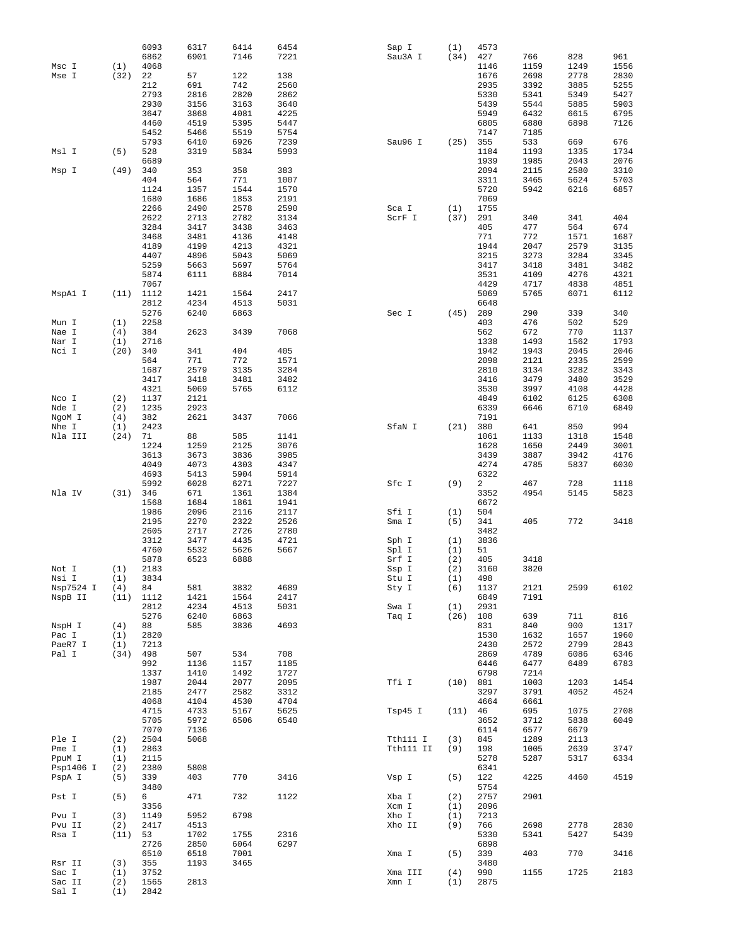|           |      | 6093 | 6317 | 6414 | 6454 | Sap I     | (1)  | 4573 |      |      |      |
|-----------|------|------|------|------|------|-----------|------|------|------|------|------|
|           |      | 6862 | 6901 | 7146 | 7221 | Sau3A I   | (34) | 427  | 766  | 828  | 961  |
| Msc I     | (1)  | 4068 |      |      |      |           |      | 1146 | 1159 | 1249 | 1556 |
| Mse I     | (32) | 22   | 57   | 122  | 138  |           |      | 1676 | 2698 | 2778 | 2830 |
|           |      | 212  | 691  | 742  | 2560 |           |      | 2935 | 3392 | 3885 | 5255 |
|           |      | 2793 | 2816 | 2820 | 2862 |           |      | 5330 | 5341 | 5349 | 5427 |
|           |      | 2930 | 3156 | 3163 | 3640 |           |      | 5439 | 5544 | 5885 | 5903 |
|           |      | 3647 | 3868 | 4081 | 4225 |           |      | 5949 | 6432 | 6615 | 6795 |
|           |      | 4460 | 4519 | 5395 | 5447 |           |      | 6805 | 6880 | 6898 | 7126 |
|           |      |      |      |      |      |           |      |      |      |      |      |
|           |      | 5452 | 5466 | 5519 | 5754 |           |      | 7147 | 7185 |      |      |
|           |      | 5793 | 6410 | 6926 | 7239 | Sau96 I   | (25) | 355  | 533  | 669  | 676  |
| Msl I     | (5)  | 528  | 3319 | 5834 | 5993 |           |      | 1184 | 1193 | 1335 | 1734 |
|           |      | 6689 |      |      |      |           |      | 1939 | 1985 | 2043 | 2076 |
| Msp I     | (49) | 340  | 353  | 358  | 383  |           |      | 2094 | 2115 | 2580 | 3310 |
|           |      | 404  | 564  | 771  | 1007 |           |      | 3311 | 3465 | 5624 | 5703 |
|           |      | 1124 | 1357 | 1544 | 1570 |           |      | 5720 | 5942 | 6216 | 6857 |
|           |      | 1680 | 1686 | 1853 | 2191 |           |      | 7069 |      |      |      |
|           |      | 2266 | 2490 | 2578 | 2590 | Sca I     | (1)  | 1755 |      |      |      |
|           |      | 2622 | 2713 | 2782 | 3134 | ScrF I    | (37) | 291  | 340  | 341  | 404  |
|           |      | 3284 | 3417 | 3438 | 3463 |           |      | 405  | 477  | 564  | 674  |
|           |      | 3468 | 3481 | 4136 | 4148 |           |      | 771  | 772  | 1571 | 1687 |
|           |      | 4189 | 4199 | 4213 | 4321 |           |      | 1944 | 2047 | 2579 | 3135 |
|           |      |      |      |      |      |           |      |      |      |      |      |
|           |      | 4407 | 4896 | 5043 | 5069 |           |      | 3215 | 3273 | 3284 | 3345 |
|           |      | 5259 | 5663 | 5697 | 5764 |           |      | 3417 | 3418 | 3481 | 3482 |
|           |      | 5874 | 6111 | 6884 | 7014 |           |      | 3531 | 4109 | 4276 | 4321 |
|           |      | 7067 |      |      |      |           |      | 4429 | 4717 | 4838 | 4851 |
| MspAl I   | (11) | 1112 | 1421 | 1564 | 2417 |           |      | 5069 | 5765 | 6071 | 6112 |
|           |      | 2812 | 4234 | 4513 | 5031 |           |      | 6648 |      |      |      |
|           |      | 5276 | 6240 | 6863 |      | Sec I     | (45) | 289  | 290  | 339  | 340  |
| Mun I     | (1)  | 2258 |      |      |      |           |      | 403  | 476  | 502  | 529  |
| Nae I     | (4)  | 384  | 2623 | 3439 | 7068 |           |      | 562  | 672  | 770  | 1137 |
| Nar I     | (1)  | 2716 |      |      |      |           |      | 1338 | 1493 | 1562 | 1793 |
| Nci I     | (20) | 340  | 341  | 404  | 405  |           |      | 1942 | 1943 | 2045 | 2046 |
|           |      | 564  | 771  | 772  | 1571 |           |      | 2098 | 2121 | 2335 | 2599 |
|           |      | 1687 | 2579 | 3135 |      |           |      | 2810 |      | 3282 | 3343 |
|           |      |      |      |      | 3284 |           |      |      | 3134 |      |      |
|           |      | 3417 | 3418 | 3481 | 3482 |           |      | 3416 | 3479 | 3480 | 3529 |
|           |      | 4321 | 5069 | 5765 | 6112 |           |      | 3530 | 3997 | 4108 | 4428 |
| Nco I     | (2)  | 1137 | 2121 |      |      |           |      | 4849 | 6102 | 6125 | 6308 |
| Nde I     | (2)  | 1235 | 2923 |      |      |           |      | 6339 | 6646 | 6710 | 6849 |
| NgoM I    | (4)  | 382  | 2621 | 3437 | 7066 |           |      | 7191 |      |      |      |
| Nhe I     | (1)  | 2423 |      |      |      | SfaN I    | (21) | 380  | 641  | 850  | 994  |
| Nla III   | (24) | 71   | 88   | 585  | 1141 |           |      | 1061 | 1133 | 1318 | 1548 |
|           |      | 1224 | 1259 | 2125 | 3076 |           |      | 1628 | 1650 | 2449 | 3001 |
|           |      | 3613 | 3673 | 3836 | 3985 |           |      | 3439 | 3887 | 3942 | 4176 |
|           |      | 4049 | 4073 | 4303 | 4347 |           |      | 4274 | 4785 | 5837 | 6030 |
|           |      | 4693 | 5413 | 5904 | 5914 |           |      | 6322 |      |      |      |
|           |      | 5992 | 6028 | 6271 | 7227 | Sfc I     | (9)  | 2    | 467  | 728  | 1118 |
|           |      |      |      |      |      |           |      |      |      |      |      |
| Nla IV    | (31) | 346  | 671  | 1361 | 1384 |           |      | 3352 | 4954 | 5145 | 5823 |
|           |      | 1568 | 1684 | 1861 | 1941 |           |      | 6672 |      |      |      |
|           |      | 1986 | 2096 | 2116 | 2117 | Sfi I     | (1)  | 504  |      |      |      |
|           |      | 2195 | 2270 | 2322 | 2526 | Sma I     | (5)  | 341  | 405  | 772  | 3418 |
|           |      | 2605 | 2717 | 2726 | 2780 |           |      | 3482 |      |      |      |
|           |      | 3312 | 3477 | 4435 | 4721 | Sph I     | (1)  | 3836 |      |      |      |
|           |      | 4760 | 5532 | 5626 | 5667 | Spl I     | (1)  | 51   |      |      |      |
|           |      | 5878 | 6523 | 6888 |      | Srf I     | (2)  | 405  | 3418 |      |      |
| Not I     | (1)  | 2183 |      |      |      | Ssp I     | (2)  | 3160 | 3820 |      |      |
| Nsi I     | (1)  | 3834 |      |      |      | Stu I     | (1)  | 498  |      |      |      |
| Nsp7524 I | (4)  | 84   | 581  | 3832 | 4689 | Sty I     | (6)  | 1137 | 2121 | 2599 | 6102 |
| NspB II   | (11) | 1112 | 1421 | 1564 | 2417 |           |      | 6849 | 7191 |      |      |
|           |      | 2812 | 4234 | 4513 | 5031 | Swa I     | (1)  | 2931 |      |      |      |
|           |      | 5276 | 6240 | 6863 |      | Taq I     | (26) | 108  | 639  | 711  | 816  |
|           |      |      |      |      |      |           |      |      |      |      |      |
| NspH I    | (4)  | 88   | 585  | 3836 | 4693 |           |      | 831  | 840  | 900  | 1317 |
| Pac I     | (1)  | 2820 |      |      |      |           |      | 1530 | 1632 | 1657 | 1960 |
| PaeR7 I   | (1)  | 7213 |      |      |      |           |      | 2430 | 2572 | 2799 | 2843 |
| Pal I     | (34) | 498  | 507  | 534  | 708  |           |      | 2869 | 4789 | 6086 | 6346 |
|           |      | 992  | 1136 | 1157 | 1185 |           |      | 6446 | 6477 | 6489 | 6783 |
|           |      | 1337 | 1410 | 1492 | 1727 |           |      | 6798 | 7214 |      |      |
|           |      | 1987 | 2044 | 2077 | 2095 | Tfi I     | (10) | 881  | 1003 | 1203 | 1454 |
|           |      | 2185 | 2477 | 2582 | 3312 |           |      | 3297 | 3791 | 4052 | 4524 |
|           |      | 4068 | 4104 | 4530 | 4704 |           |      | 4664 | 6661 |      |      |
|           |      | 4715 | 4733 | 5167 | 5625 | Tsp45 I   | (11) | 46   | 695  | 1075 | 2708 |
|           |      | 5705 | 5972 | 6506 | 6540 |           |      | 3652 | 3712 | 5838 | 6049 |
|           |      | 7070 | 7136 |      |      |           |      | 6114 | 6577 | 6679 |      |
| Ple I     | (2)  | 2504 | 5068 |      |      | Tth111 I  | (3)  | 845  | 1289 | 2113 |      |
| Pme I     | (1)  | 2863 |      |      |      | Tth111 II | (9)  | 198  | 1005 | 2639 | 3747 |
| PpuM I    | (1)  | 2115 |      |      |      |           |      | 5278 | 5287 | 5317 | 6334 |
| Psp1406 I |      | 2380 | 5808 |      |      |           |      |      |      |      |      |
|           | (2)  |      |      |      |      |           |      | 6341 |      |      |      |
| PspA I    | (5)  | 339  | 403  | 770  | 3416 | Vsp I     | (5)  | 122  | 4225 | 4460 | 4519 |
|           |      | 3480 |      |      |      |           |      | 5754 |      |      |      |
| Pst I     | (5)  | 6    | 471  | 732  | 1122 | Xba I     | (2)  | 2757 | 2901 |      |      |
|           |      | 3356 |      |      |      | Xcm I     | (1)  | 2096 |      |      |      |
| Pvu I     | (3)  | 1149 | 5952 | 6798 |      | Xho I     | (1)  | 7213 |      |      |      |
| Pvu II    | (2)  | 2417 | 4513 |      |      | Xho II    | (9)  | 766  | 2698 | 2778 | 2830 |
| Rsa I     | (11) | 53   | 1702 | 1755 | 2316 |           |      | 5330 | 5341 | 5427 | 5439 |
|           |      | 2726 | 2850 | 6064 | 6297 |           |      | 6898 |      |      |      |
|           |      | 6510 | 6518 | 7001 |      | Xma I     | (5)  | 339  | 403  | 770  | 3416 |
| Rsr II    | (3)  | 355  | 1193 | 3465 |      |           |      | 3480 |      |      |      |
|           |      |      |      |      |      |           |      |      |      |      |      |
| Sac I     | (1)  | 3752 |      |      |      | Xma III   | (4)  | 990  | 1155 | 1725 | 2183 |
| Sac II    | (2)  | 1565 | 2813 |      |      | Xmn I     | (1)  | 2875 |      |      |      |
| Sal I     | (1)  | 2842 |      |      |      |           |      |      |      |      |      |